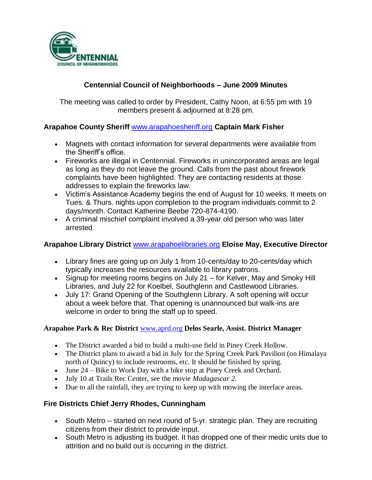

# **Centennial Council of Neighborhoods – June 2009 Minutes**

The meeting was called to order by President, Cathy Noon, at 6:55 pm with 19 members present & adjourned at 8:28 pm.

# **Arapahoe County Sheriff** [www.arapahoesheriff.org](http://www.arapahoesheriff.org/) **Captain Mark Fisher**

- Magnets with contact information for several departments were available from the Sheriff's office.
- Fireworks are illegal in Centennial. Fireworks in unincorporated areas are legal as long as they do not leave the ground. Calls from the past about firework complaints have been highlighted. They are contacting residents at those addresses to explain the fireworks law.
- Victim's Assistance Academy begins the end of August for 10 weeks. It meets on Tues. & Thurs. nights upon completion to the program individuals commit to 2 days/month. Contact Katherine Beebe 720-874-4190.
- A criminal mischief complaint involved a 39-year old person who was later arrested.

# **Arapahoe Library District** [www.arapahoelibraries.org](http://www.arapahoelibraries.org/) **Eloise May, Executive Director**

- Library fines are going up on July 1 from 10-cents/day to 20-cents/day which typically increases the resources available to library patrons.
- Signup for meeting rooms begins on July 21 for Kelver, May and Smoky Hill Libraries, and July 22 for Koelbel, Southglenn and Castlewood Libraries.
- July 17: Grand Opening of the Southglenn Library. A soft opening will occur about a week before that. That opening is unannounced but walk-ins are welcome in order to bring the staff up to speed.

#### **Arapahoe Park & Rec District** [www.aprd.org](http://www.aprd.org/) **Delos Searle, Assist. District Manager**

- The District awarded a bid to build a multi-use field in Piney Creek Hollow.
- The District plans to award a bid in July for the Spring Creek Park Pavilion (on Himalaya north of Quincy) to include restrooms, etc. It should be finished by spring.
- June 24 Bike to Work Day with a bike stop at Piney Creek and Orchard.
- July 10 at Trails Rec Center, see the movie *Madagascar 2*.
- Due to all the rainfall, they are trying to keep up with mowing the interface areas.

# **Fire Districts Chief Jerry Rhodes, Cunningham**

- South Metro started on next round of 5-yr. strategic plan. They are recruiting citizens from their district to provide input.
- South Metro is adjusting its budget. It has dropped one of their medic units due to attrition and no build out is occurring in the district.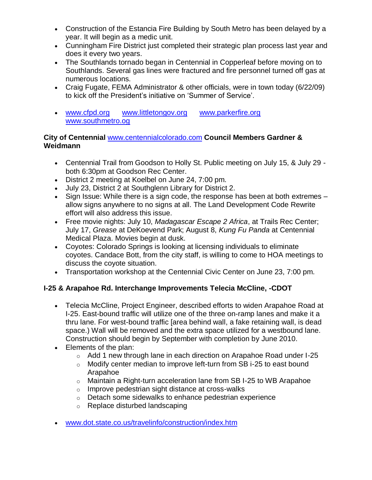- Construction of the Estancia Fire Building by South Metro has been delayed by a year. It will begin as a medic unit.
- Cunningham Fire District just completed their strategic plan process last year and does it every two years.
- The Southlands tornado began in Centennial in Copperleaf before moving on to Southlands. Several gas lines were fractured and fire personnel turned off gas at numerous locations.
- Craig Fugate, FEMA Administrator & other officials, were in town today (6/22/09) to kick off the President's initiative on 'Summer of Service'.
- [www.cfpd.org](http://www.cfpd.org/) [www.littletongov.org](http://www.littletongov.org/) [www.parkerfire.org](http://www.parkerfire.org/)  [www.southmetro.og](http://www.southmetro.og/)

# **City of Centennial** [www.centennialcolorado.com](http://www.centennialcolorado.com/) **Council Members Gardner & Weidmann**

- Centennial Trail from Goodson to Holly St. Public meeting on July 15, & July 29 both 6:30pm at Goodson Rec Center.
- District 2 meeting at Koelbel on June 24, 7:00 pm.
- July 23, District 2 at Southglenn Library for District 2.
- Sign Issue: While there is a sign code, the response has been at both extremes allow signs anywhere to no signs at all. The Land Development Code Rewrite effort will also address this issue.
- Free movie nights: July 10, *Madagascar Escape 2 Africa*, at Trails Rec Center; July 17, *Grease* at DeKoevend Park; August 8, *Kung Fu Panda* at Centennial Medical Plaza. Movies begin at dusk.
- Coyotes: Colorado Springs is looking at licensing individuals to eliminate coyotes. Candace Bott, from the city staff, is willing to come to HOA meetings to discuss the coyote situation.
- Transportation workshop at the Centennial Civic Center on June 23, 7:00 pm.

# **I-25 & Arapahoe Rd. Interchange Improvements Telecia McCline, -CDOT**

- Telecia McCline, Project Engineer, described efforts to widen Arapahoe Road at I-25. East-bound traffic will utilize one of the three on-ramp lanes and make it a thru lane. For west-bound traffic [area behind wall, a fake retaining wall, is dead space.) Wall will be removed and the extra space utilized for a westbound lane. Construction should begin by September with completion by June 2010.
- Elements of the plan:
	- $\circ$  Add 1 new through lane in each direction on Arapahoe Road under I-25
	- o Modify center median to improve left-turn from SB i-25 to east bound Arapahoe
	- o Maintain a Right-turn acceleration lane from SB I-25 to WB Arapahoe
	- $\circ$  Improve pedestrian sight distance at cross-walks
	- o Detach some sidewalks to enhance pedestrian experience
	- o Replace disturbed landscaping
- [www.dot.state.co.us/travelinfo/construction/index.htm](http://www.dot.state.co.us/travelinfo/construction/index.htm)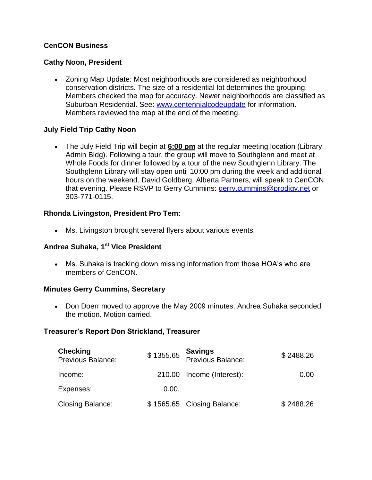## **CenCON Business**

#### **Cathy Noon, President**

• Zoning Map Update: Most neighborhoods are considered as neighborhood conservation districts. The size of a residential lot determines the grouping. Members checked the map for accuracy. Newer neighborhoods are classified as Suburban Residential. See: [www.centennialcodeupdate](http://www.centennialcodeupdate/) for information. Members reviewed the map at the end of the meeting.

## **July Field Trip Cathy Noon**

 The July Field Trip will begin at **6:00 pm** at the regular meeting location (Library Admin Bldg). Following a tour, the group will move to Southglenn and meet at Whole Foods for dinner followed by a tour of the new Southglenn Library. The Southglenn Library will stay open until 10:00 pm during the week and additional hours on the weekend. David Goldberg, Alberta Partners, will speak to CenCON that evening. Please RSVP to Gerry Cummins: [gerry.cummins@prodigy.net](mailto:gerry.cummins@prodigy.net) or 303-771-0115.

#### **Rhonda Livingston, President Pro Tem:**

Ms. Livingston brought several flyers about various events.

#### **Andrea Suhaka, 1st Vice President**

 Ms. Suhaka is tracking down missing information from those HOA's who are members of CenCON.

#### **Minutes Gerry Cummins, Secretary**

 Don Doerr moved to approve the May 2009 minutes. Andrea Suhaka seconded the motion. Motion carried.

#### **Treasurer's Report Don Strickland, Treasurer**

| <b>Checking</b><br><b>Previous Balance:</b> | \$1355.65 | <b>Savings</b><br>Previous Balance: | \$2488.26 |
|---------------------------------------------|-----------|-------------------------------------|-----------|
| Income:                                     |           | 210.00 Income (Interest):           | 0.00      |
| Expenses:                                   | 0.00.     |                                     |           |
| <b>Closing Balance:</b>                     |           | \$1565.65 Closing Balance:          | \$2488.26 |